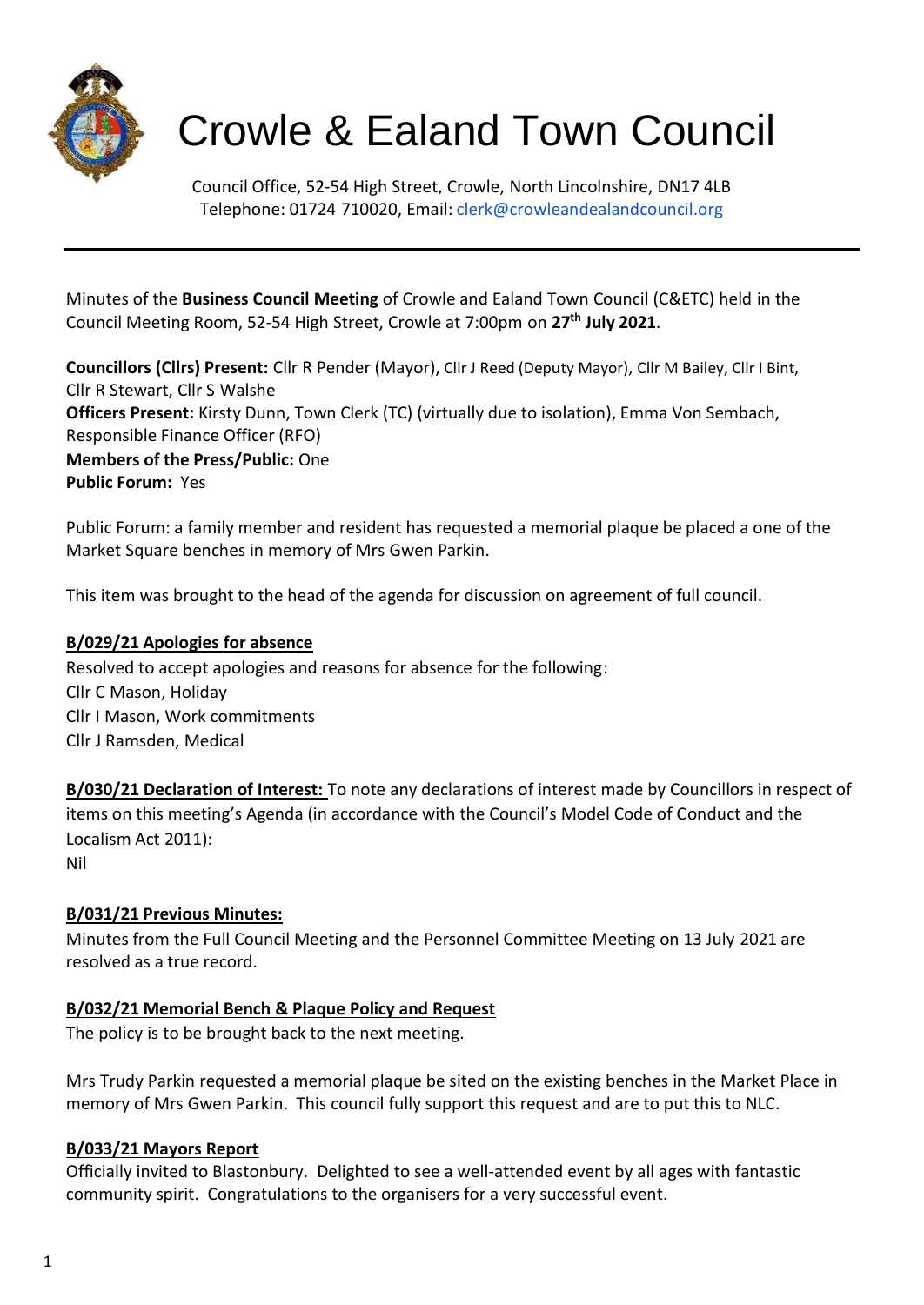

# Crowle & Ealand Town Council

Council Office, 52-54 High Street, Crowle, North Lincolnshire, DN17 4LB Telephone: 01724 710020, Email: [clerk@crowleandealandcouncil.org](mailto:clerk@crowleandealandcouncil.org)

Minutes of the **Business Council Meeting** of Crowle and Ealand Town Council (C&ETC) held in the Council Meeting Room, 52-54 High Street, Crowle at 7:00pm on **27 th July 2021**.

**Councillors (Cllrs) Present:** Cllr R Pender (Mayor), Cllr J Reed (Deputy Mayor), Cllr M Bailey, Cllr I Bint, Cllr R Stewart, Cllr S Walshe **Officers Present:** Kirsty Dunn, Town Clerk (TC) (virtually due to isolation), Emma Von Sembach, Responsible Finance Officer (RFO) **Members of the Press/Public:** One **Public Forum:** Yes

Public Forum: a family member and resident has requested a memorial plaque be placed a one of the Market Square benches in memory of Mrs Gwen Parkin.

This item was brought to the head of the agenda for discussion on agreement of full council.

# **B/029/21 Apologies for absence**

Resolved to accept apologies and reasons for absence for the following: Cllr C Mason, Holiday Cllr I Mason, Work commitments Cllr J Ramsden, Medical

**B/030/21 Declaration of Interest:** To note any declarations of interest made by Councillors in respect of items on this meeting's Agenda (in accordance with the Council's Model Code of Conduct and the Localism Act 2011): Nil

#### **B/031/21 Previous Minutes:**

Minutes from the Full Council Meeting and the Personnel Committee Meeting on 13 July 2021 are resolved as a true record.

#### **B/032/21 Memorial Bench & Plaque Policy and Request**

The policy is to be brought back to the next meeting.

Mrs Trudy Parkin requested a memorial plaque be sited on the existing benches in the Market Place in memory of Mrs Gwen Parkin. This council fully support this request and are to put this to NLC.

#### **B/033/21 Mayors Report**

Officially invited to Blastonbury. Delighted to see a well-attended event by all ages with fantastic community spirit. Congratulations to the organisers for a very successful event.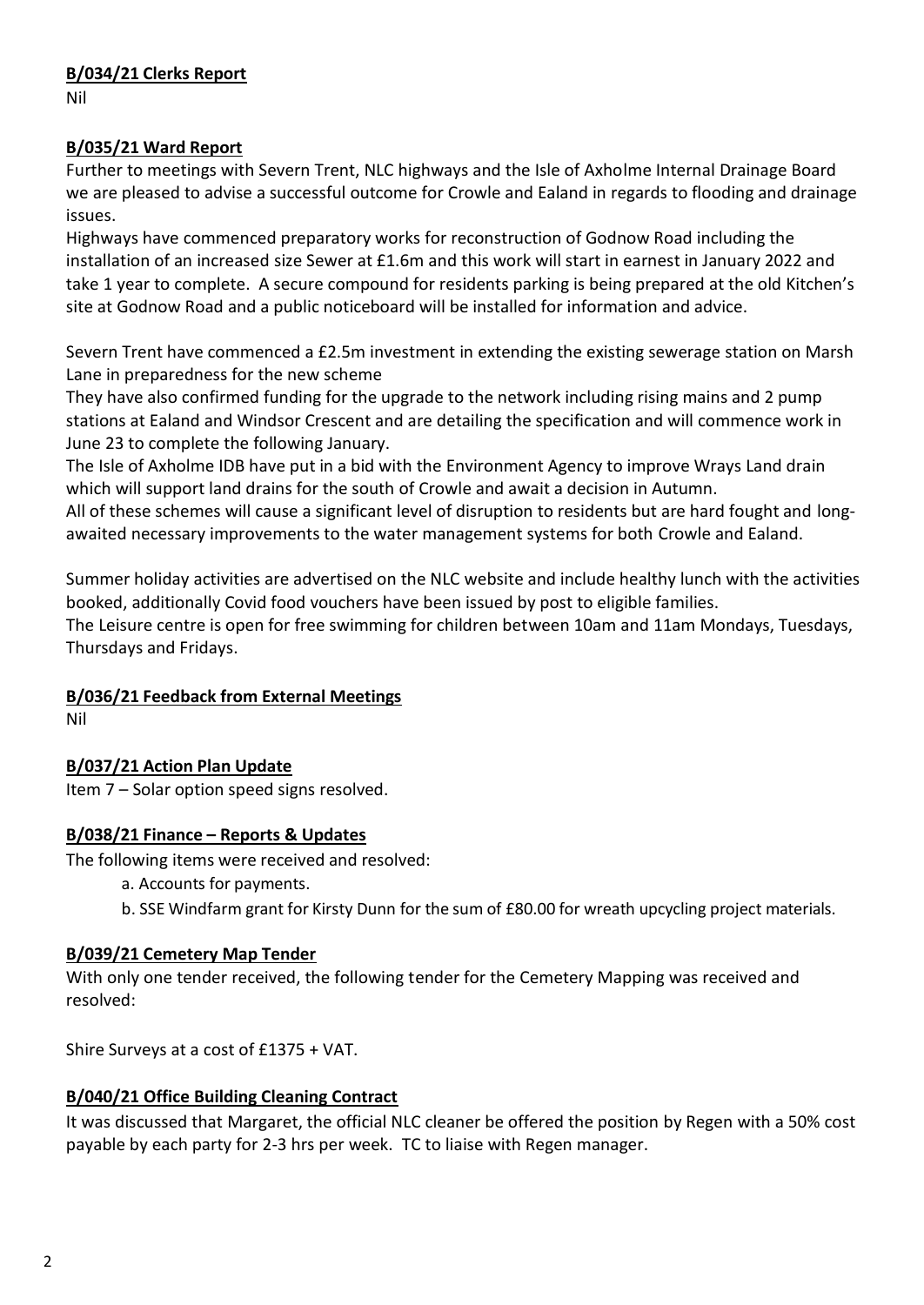### **B/034/21 Clerks Report**

Nil

# **B/035/21 Ward Report**

Further to meetings with Severn Trent, NLC highways and the Isle of Axholme Internal Drainage Board we are pleased to advise a successful outcome for Crowle and Ealand in regards to flooding and drainage issues.

Highways have commenced preparatory works for reconstruction of Godnow Road including the installation of an increased size Sewer at £1.6m and this work will start in earnest in January 2022 and take 1 year to complete. A secure compound for residents parking is being prepared at the old Kitchen's site at Godnow Road and a public noticeboard will be installed for information and advice.

Severn Trent have commenced a £2.5m investment in extending the existing sewerage station on Marsh Lane in preparedness for the new scheme

They have also confirmed funding for the upgrade to the network including rising mains and 2 pump stations at Ealand and Windsor Crescent and are detailing the specification and will commence work in June 23 to complete the following January.

The Isle of Axholme IDB have put in a bid with the Environment Agency to improve Wrays Land drain which will support land drains for the south of Crowle and await a decision in Autumn.

All of these schemes will cause a significant level of disruption to residents but are hard fought and longawaited necessary improvements to the water management systems for both Crowle and Ealand.

Summer holiday activities are advertised on the NLC website and include healthy lunch with the activities booked, additionally Covid food vouchers have been issued by post to eligible families.

The Leisure centre is open for free swimming for children between 10am and 11am Mondays, Tuesdays, Thursdays and Fridays.

# **B/036/21 Feedback from External Meetings**

Nil

# **B/037/21 Action Plan Update**

Item 7 – Solar option speed signs resolved.

#### **B/038/21 Finance – Reports & Updates**

The following items were received and resolved:

- a. Accounts for payments.
- b. SSE Windfarm grant for Kirsty Dunn for the sum of £80.00 for wreath upcycling project materials.

#### **B/039/21 Cemetery Map Tender**

With only one tender received, the following tender for the Cemetery Mapping was received and resolved:

Shire Surveys at a cost of £1375 + VAT.

#### **B/040/21 Office Building Cleaning Contract**

It was discussed that Margaret, the official NLC cleaner be offered the position by Regen with a 50% cost payable by each party for 2-3 hrs per week. TC to liaise with Regen manager.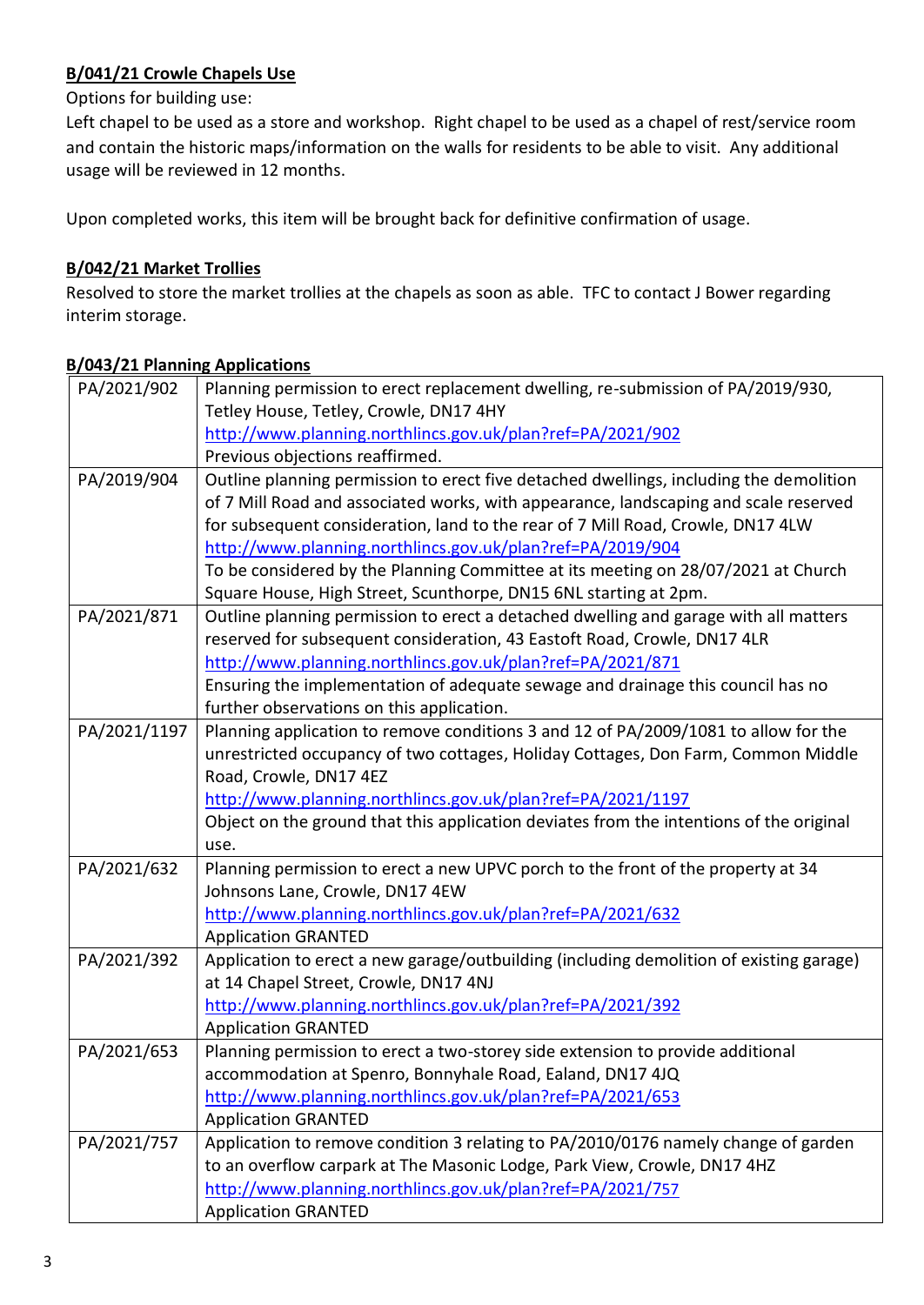# **B/041/21 Crowle Chapels Use**

Options for building use:

Left chapel to be used as a store and workshop. Right chapel to be used as a chapel of rest/service room and contain the historic maps/information on the walls for residents to be able to visit. Any additional usage will be reviewed in 12 months.

Upon completed works, this item will be brought back for definitive confirmation of usage.

## **B/042/21 Market Trollies**

Resolved to store the market trollies at the chapels as soon as able. TFC to contact J Bower regarding interim storage.

## **B/043/21 Planning Applications**

| PA/2021/902  | Planning permission to erect replacement dwelling, re-submission of PA/2019/930,        |
|--------------|-----------------------------------------------------------------------------------------|
|              | Tetley House, Tetley, Crowle, DN17 4HY                                                  |
|              | http://www.planning.northlincs.gov.uk/plan?ref=PA/2021/902                              |
|              | Previous objections reaffirmed.                                                         |
| PA/2019/904  | Outline planning permission to erect five detached dwellings, including the demolition  |
|              | of 7 Mill Road and associated works, with appearance, landscaping and scale reserved    |
|              | for subsequent consideration, land to the rear of 7 Mill Road, Crowle, DN17 4LW         |
|              | http://www.planning.northlincs.gov.uk/plan?ref=PA/2019/904                              |
|              | To be considered by the Planning Committee at its meeting on 28/07/2021 at Church       |
|              | Square House, High Street, Scunthorpe, DN15 6NL starting at 2pm.                        |
| PA/2021/871  | Outline planning permission to erect a detached dwelling and garage with all matters    |
|              | reserved for subsequent consideration, 43 Eastoft Road, Crowle, DN17 4LR                |
|              | http://www.planning.northlincs.gov.uk/plan?ref=PA/2021/871                              |
|              | Ensuring the implementation of adequate sewage and drainage this council has no         |
|              | further observations on this application.                                               |
| PA/2021/1197 | Planning application to remove conditions 3 and 12 of PA/2009/1081 to allow for the     |
|              | unrestricted occupancy of two cottages, Holiday Cottages, Don Farm, Common Middle       |
|              | Road, Crowle, DN17 4EZ                                                                  |
|              | http://www.planning.northlincs.gov.uk/plan?ref=PA/2021/1197                             |
|              | Object on the ground that this application deviates from the intentions of the original |
|              | use.                                                                                    |
| PA/2021/632  | Planning permission to erect a new UPVC porch to the front of the property at 34        |
|              | Johnsons Lane, Crowle, DN17 4EW                                                         |
|              | http://www.planning.northlincs.gov.uk/plan?ref=PA/2021/632                              |
|              | <b>Application GRANTED</b>                                                              |
| PA/2021/392  | Application to erect a new garage/outbuilding (including demolition of existing garage) |
|              | at 14 Chapel Street, Crowle, DN17 4NJ                                                   |
|              | http://www.planning.northlincs.gov.uk/plan?ref=PA/2021/392                              |
|              | <b>Application GRANTED</b>                                                              |
| PA/2021/653  | Planning permission to erect a two-storey side extension to provide additional          |
|              | accommodation at Spenro, Bonnyhale Road, Ealand, DN17 4JQ                               |
|              | http://www.planning.northlincs.gov.uk/plan?ref=PA/2021/653                              |
|              | <b>Application GRANTED</b>                                                              |
| PA/2021/757  | Application to remove condition 3 relating to PA/2010/0176 namely change of garden      |
|              | to an overflow carpark at The Masonic Lodge, Park View, Crowle, DN17 4HZ                |
|              | http://www.planning.northlincs.gov.uk/plan?ref=PA/2021/757                              |
|              | <b>Application GRANTED</b>                                                              |